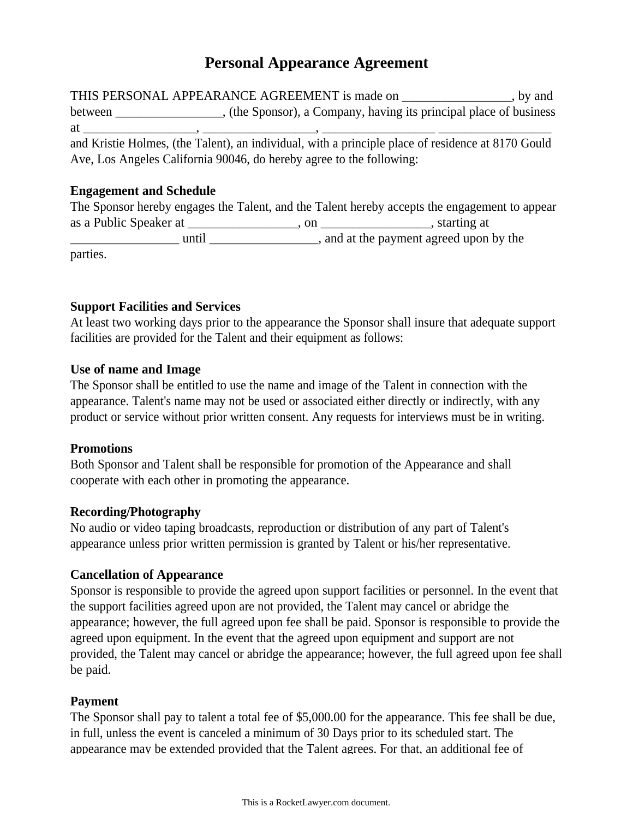# **Personal Appearance Agreement**

THIS PERSONAL APPEARANCE AGREEMENT is made on \_\_\_\_\_\_\_\_\_\_\_\_\_\_\_\_\_\_, by and between \_\_\_\_\_\_\_\_\_\_\_\_\_\_, (the Sponsor), a Company, having its principal place of business at \_\_\_\_\_\_\_\_\_\_\_\_\_\_\_\_\_, \_\_\_\_\_\_\_\_\_\_\_\_\_\_\_\_\_, \_\_\_\_\_\_\_\_\_\_\_\_\_\_\_\_\_ \_\_\_\_\_\_\_\_\_\_\_\_\_\_\_\_\_ and Kristie Holmes, (the Talent), an individual, with a principle place of residence at 8170 Gould

Ave, Los Angeles California 90046, do hereby agree to the following:

### **Engagement and Schedule**

|                        |      | The Sponsor hereby engages the Talent, and the Talent hereby accepts the engagement to appear |
|------------------------|------|-----------------------------------------------------------------------------------------------|
| as a Public Speaker at | on — | , starting at                                                                                 |
| until                  |      | and at the payment agreed upon by the                                                         |
| parties.               |      |                                                                                               |

# **Support Facilities and Services**

At least two working days prior to the appearance the Sponsor shall insure that adequate support facilities are provided for the Talent and their equipment as follows:

#### **Use of name and Image**

The Sponsor shall be entitled to use the name and image of the Talent in connection with the appearance. Talent's name may not be used or associated either directly or indirectly, with any product or service without prior written consent. Any requests for interviews must be in writing.

#### **Promotions**

Both Sponsor and Talent shall be responsible for promotion of the Appearance and shall cooperate with each other in promoting the appearance.

# **Recording/Photography**

No audio or video taping broadcasts, reproduction or distribution of any part of Talent's appearance unless prior written permission is granted by Talent or his/her representative.

# **Cancellation of Appearance**

Sponsor is responsible to provide the agreed upon support facilities or personnel. In the event that the support facilities agreed upon are not provided, the Talent may cancel or abridge the appearance; however, the full agreed upon fee shall be paid. Sponsor is responsible to provide the agreed upon equipment. In the event that the agreed upon equipment and support are not provided, the Talent may cancel or abridge the appearance; however, the full agreed upon fee shall be paid.

# **Payment**

The Sponsor shall pay to talent a total fee of \$5,000.00 for the appearance. This fee shall be due, in full, unless the event is canceled a minimum of 30 Days prior to its scheduled start. The appearance may be extended provided that the Talent agrees. For that, an additional fee of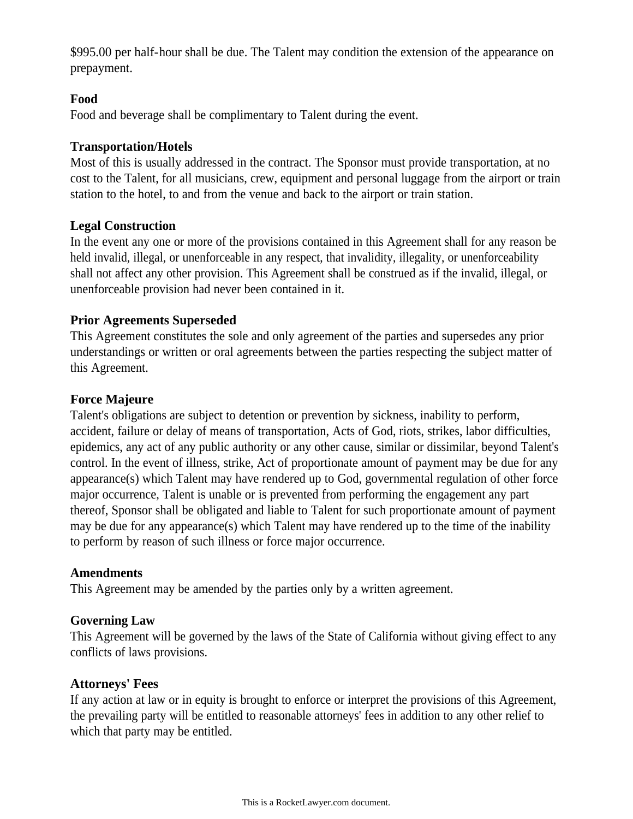\$995.00 per half-hour shall be due. The Talent may condition the extension of the appearance on prepayment.

## **Food**

Food and beverage shall be complimentary to Talent during the event.

## **Transportation/Hotels**

Most of this is usually addressed in the contract. The Sponsor must provide transportation, at no cost to the Talent, for all musicians, crew, equipment and personal luggage from the airport or train station to the hotel, to and from the venue and back to the airport or train station.

# **Legal Construction**

In the event any one or more of the provisions contained in this Agreement shall for any reason be held invalid, illegal, or unenforceable in any respect, that invalidity, illegality, or unenforceability shall not affect any other provision. This Agreement shall be construed as if the invalid, illegal, or unenforceable provision had never been contained in it.

# **Prior Agreements Superseded**

This Agreement constitutes the sole and only agreement of the parties and supersedes any prior understandings or written or oral agreements between the parties respecting the subject matter of this Agreement.

# **Force Majeure**

Talent's obligations are subject to detention or prevention by sickness, inability to perform, accident, failure or delay of means of transportation, Acts of God, riots, strikes, labor difficulties, epidemics, any act of any public authority or any other cause, similar or dissimilar, beyond Talent's control. In the event of illness, strike, Act of proportionate amount of payment may be due for any appearance(s) which Talent may have rendered up to God, governmental regulation of other force major occurrence, Talent is unable or is prevented from performing the engagement any part thereof, Sponsor shall be obligated and liable to Talent for such proportionate amount of payment may be due for any appearance(s) which Talent may have rendered up to the time of the inability to perform by reason of such illness or force major occurrence.

# **Amendments**

This Agreement may be amended by the parties only by a written agreement.

# **Governing Law**

This Agreement will be governed by the laws of the State of California without giving effect to any conflicts of laws provisions.

# **Attorneys' Fees**

If any action at law or in equity is brought to enforce or interpret the provisions of this Agreement, the prevailing party will be entitled to reasonable attorneys' fees in addition to any other relief to which that party may be entitled.